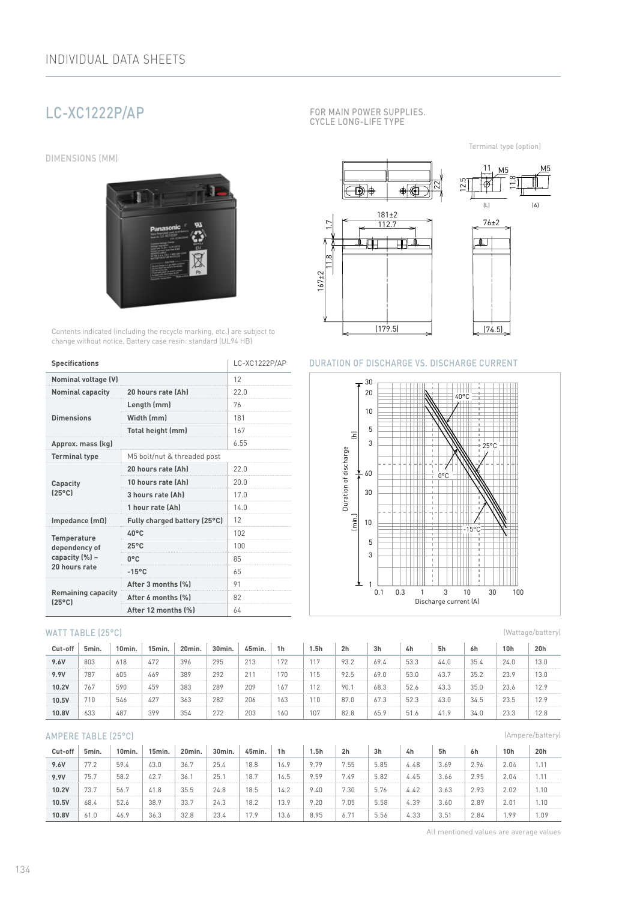# LC-XC1222P/AP

DIMENSIONS (MM)



Contents indicated (including the recycle marking, etc.) are subject to change without notice. Battery case resin: standard (UL94 HB)

| <b>Specifications</b>                        | LC-XC1222P/AP                |      |  |  |  |
|----------------------------------------------|------------------------------|------|--|--|--|
| <b>Nominal voltage (V)</b>                   | 12                           |      |  |  |  |
| <b>Nominal capacity</b>                      | 20 hours rate (Ah)           | 22.0 |  |  |  |
|                                              | Length (mm)                  | 76   |  |  |  |
| <b>Dimensions</b>                            | Width (mm)                   | 181  |  |  |  |
|                                              | Total height (mm)            | 167  |  |  |  |
| Approx. mass (kg)                            | 6.55                         |      |  |  |  |
| <b>Terminal type</b>                         |                              |      |  |  |  |
|                                              | 20 hours rate (Ah)           | 22 N |  |  |  |
| Capacity                                     | 10 hours rate (Ah)           | 20.0 |  |  |  |
| $[25^{\circ}$ C                              | 3 hours rate (Ah)            | 17.0 |  |  |  |
|                                              | 1 hour rate (Ah)             | 140  |  |  |  |
| Impedance $(m\Omega)$                        | Fully charged battery (25°C) | 12   |  |  |  |
| <b>Temperature</b>                           | $40^{\circ}$ C               | 102  |  |  |  |
| dependency of                                | $25^{\circ}$ C               | 100  |  |  |  |
| capacity (%) -                               | $0^{\circ}$ C                | 85   |  |  |  |
| 20 hours rate                                | $-15^{\circ}$ C              | 65   |  |  |  |
|                                              | After 3 months (%)           | 91   |  |  |  |
| <b>Remaining capacity</b><br>$(25^{\circ}C)$ | After 6 months [%]           | 82   |  |  |  |
|                                              | After 12 months [%]          | 64   |  |  |  |

#### WATT TABLE (25°C)

| Cut-off | 5min. | 10min. | 15min. | 20min. | 30 <sub>min</sub> | 45min. | 1 <sub>h</sub>  | 5h                   | 2 <sub>h</sub> | 3h                    | 4h   | 5h   | 6h   | 10h  | 20h  |
|---------|-------|--------|--------|--------|-------------------|--------|-----------------|----------------------|----------------|-----------------------|------|------|------|------|------|
| 9.6V    | 803   | 618    | 472    | 396    | 295               | 213    | 172             | 117                  | 93.2           | 69.4                  | 53.3 | 44.0 | 35.4 | 24.0 | 13.U |
| 9.9V    | 787   | 605    | 469    | 389    | 292               | 211    | 17C             | 15                   | 92.5           | 69.0                  | 53.0 | 43.  | 35.2 | 23.9 | 13.O |
| 10.2V   | 767   | 590    | 459    | 383    | 289               | 209    | 16.             | 110<br>$\frac{1}{2}$ | 90.            | 68.3                  | 52.6 | 43.3 | 35.0 | 23.6 | 12.9 |
| 10.5V   | 710   | 546    | 42"    | 363    | 282               | 206    | $\cdots$<br>163 | ้ 10                 | 87.0           | $\sim$ $\sim$<br>67.3 | 52.3 | 43.0 | 34.5 | 23.5 | 12.9 |
| 10.8V   | 633   | 487    | 399    | 354    | 272               | 203    | 160             | 107                  | 82.8           | 65.9                  | 51.6 | 41.9 | 34.C | 23.3 | 12.8 |

#### AMPERE TABLE (25°C)

| Cut-off | 5min. | 10min. | 15min. | 20min. | 30min. | 45min. | 1h   | 1.5h | 2 <sub>h</sub> | 3h   | 4h   | 5h   | 6h   | 10 <sub>h</sub> | 20h  |
|---------|-------|--------|--------|--------|--------|--------|------|------|----------------|------|------|------|------|-----------------|------|
| 9.6V    | 77.2  | 59.4   | 43.0   | 36.7   | 25.4   | 18.8   | 14.9 | 9.79 | 7.55           | 5.85 | 4.48 | 3.69 | 2.96 | 2.04            | 1.11 |
| 9.9V    | 75.7  | 58.2   | 42.7   | 36.7   | 25.1   | 18.7   | 14.5 | 9.59 | 7.49           | 5.82 | 4.45 | 3.66 | 2.95 | 2.04            | 1.11 |
| 10.2V   | 73.7  | 56.7   | 41.8   | 35.5   | 24.8   | 18.5   | 14.2 | 9.40 | 7.30           | 5.76 | 4.42 | 3.63 | 2.93 | 2.02            | .10  |
| 10.5V   | 68.4  | 52.6   | 38.9   | 33.7   | 24.3   | 18.2   | 13.9 | 9.20 | 7.05           | 5.58 | 4.39 | 3.60 | 2.89 | 2.01            | 1.10 |
| 10.8V   | 61.0  | 46.9   | 36.3   | 32.8   | 23.4   | 17.9   | 13.6 | 8.95 | 6.71           | 5.56 | 4.33 | 3.51 | 2.84 | .99             | 1.09 |

FOR MAIN POWER SUPPLIES. CYCLE LONG-LIFE TYPE

Terminal type (option)



### DURATION OF DISCHARGE VS. DISCHARGE CURRENT



(Wattage/battery)

(Ampere/battery)

All mentioned values are average values